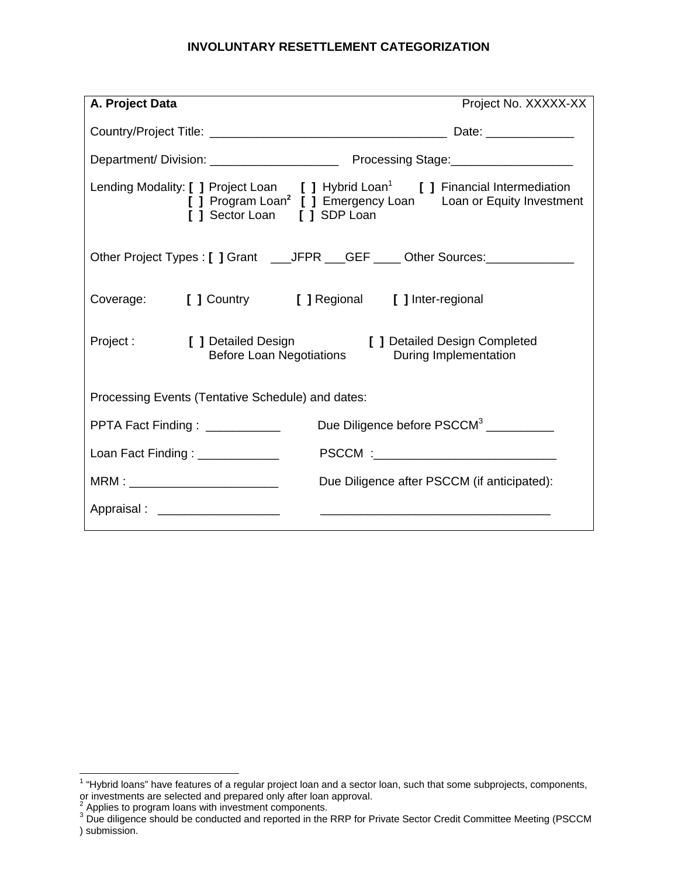# **INVOLUNTARY RESETTLEMENT CATEGORIZATION**

| A. Project Data                                   |                                     | Project No. XXXXX-XX                                                                                                                                                       |  |  |  |
|---------------------------------------------------|-------------------------------------|----------------------------------------------------------------------------------------------------------------------------------------------------------------------------|--|--|--|
|                                                   |                                     |                                                                                                                                                                            |  |  |  |
|                                                   |                                     |                                                                                                                                                                            |  |  |  |
|                                                   | [ ] Sector Loan [ ] SDP Loan        | Lending Modality: [ ] Project Loan [ ] Hybrid Loan <sup>1</sup> [ ] Financial Intermediation<br>[ ] Program Loan <sup>2</sup> [ ] Emergency Loan Loan or Equity Investment |  |  |  |
|                                                   |                                     | Other Project Types: [ ] Grant ___JFPR __GEF ____ Other Sources: ______________                                                                                            |  |  |  |
|                                                   |                                     | Coverage: [ ] Country [ ] Regional [ ] Inter-regional                                                                                                                      |  |  |  |
| Project :                                         |                                     | [ ] Detailed Design [ ] Detailed Design Completed<br>Before Loan Negotiations During Implementation                                                                        |  |  |  |
| Processing Events (Tentative Schedule) and dates: |                                     |                                                                                                                                                                            |  |  |  |
|                                                   | PPTA Fact Finding : ___________     | Due Diligence before PSCCM <sup>3</sup>                                                                                                                                    |  |  |  |
|                                                   | Loan Fact Finding : _____________   |                                                                                                                                                                            |  |  |  |
|                                                   | MRM : _____________________________ | Due Diligence after PSCCM (if anticipated):                                                                                                                                |  |  |  |
|                                                   | Appraisal : ______________________  |                                                                                                                                                                            |  |  |  |

 1 "Hybrid loans" have features of a regular project loan and a sector loan, such that some subprojects, components,

or investments are selected and prepared only after loan approval.<br><sup>2</sup> Applies to program loans with investment components.<br><sup>3</sup> Due diligence should be conducted and reported in the RRP for Private Sector Credit Committee ) submission.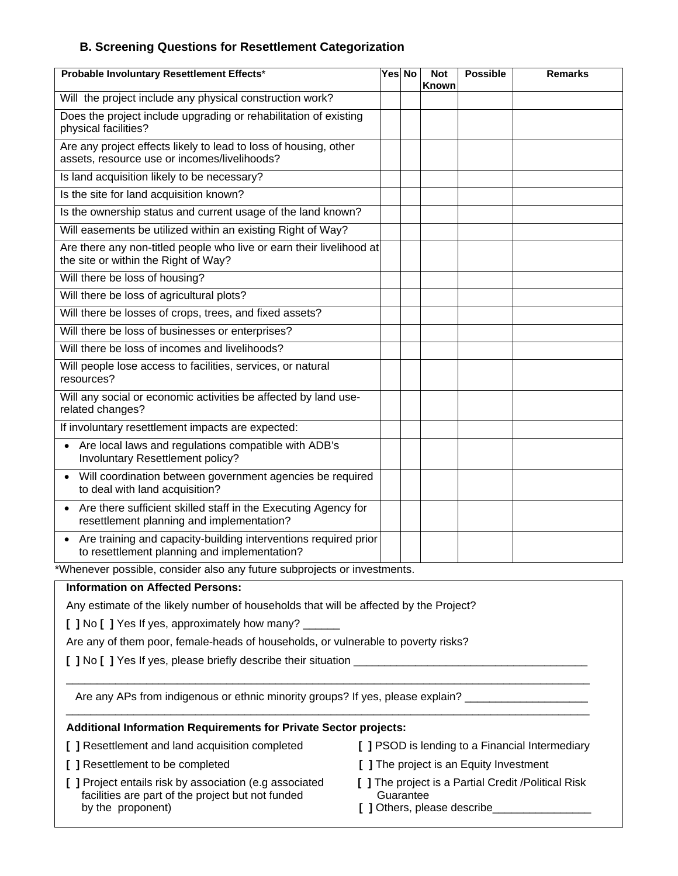## **B. Screening Questions for Resettlement Categorization**

| Probable Involuntary Resettlement Effects*                                                                               |  | Yes No | <b>Not</b><br><b>Known</b> | <b>Possible</b> | <b>Remarks</b> |  |
|--------------------------------------------------------------------------------------------------------------------------|--|--------|----------------------------|-----------------|----------------|--|
| Will the project include any physical construction work?                                                                 |  |        |                            |                 |                |  |
| Does the project include upgrading or rehabilitation of existing<br>physical facilities?                                 |  |        |                            |                 |                |  |
| Are any project effects likely to lead to loss of housing, other<br>assets, resource use or incomes/livelihoods?         |  |        |                            |                 |                |  |
| Is land acquisition likely to be necessary?                                                                              |  |        |                            |                 |                |  |
| Is the site for land acquisition known?                                                                                  |  |        |                            |                 |                |  |
| Is the ownership status and current usage of the land known?                                                             |  |        |                            |                 |                |  |
| Will easements be utilized within an existing Right of Way?                                                              |  |        |                            |                 |                |  |
| Are there any non-titled people who live or earn their livelihood at<br>the site or within the Right of Way?             |  |        |                            |                 |                |  |
| Will there be loss of housing?                                                                                           |  |        |                            |                 |                |  |
| Will there be loss of agricultural plots?                                                                                |  |        |                            |                 |                |  |
| Will there be losses of crops, trees, and fixed assets?                                                                  |  |        |                            |                 |                |  |
| Will there be loss of businesses or enterprises?                                                                         |  |        |                            |                 |                |  |
| Will there be loss of incomes and livelihoods?                                                                           |  |        |                            |                 |                |  |
| Will people lose access to facilities, services, or natural<br>resources?                                                |  |        |                            |                 |                |  |
| Will any social or economic activities be affected by land use-<br>related changes?                                      |  |        |                            |                 |                |  |
| If involuntary resettlement impacts are expected:                                                                        |  |        |                            |                 |                |  |
| Are local laws and regulations compatible with ADB's<br>Involuntary Resettlement policy?                                 |  |        |                            |                 |                |  |
| Will coordination between government agencies be required<br>$\bullet$<br>to deal with land acquisition?                 |  |        |                            |                 |                |  |
| Are there sufficient skilled staff in the Executing Agency for<br>$\bullet$<br>resettlement planning and implementation? |  |        |                            |                 |                |  |
| Are training and capacity-building interventions required prior<br>to resettlement planning and implementation?          |  |        |                            |                 |                |  |
| *Whenever possible, consider also any future subprojects or investments.                                                 |  |        |                            |                 |                |  |

**Information on Affected Persons:** 

Any estimate of the likely number of households that will be affected by the Project?

**[ ]** No **[ ]** Yes If yes, approximately how many? \_\_\_\_\_\_

Are any of them poor, female-heads of households, or vulnerable to poverty risks?

**[ ]** No **[ ]** Yes If yes, please briefly describe their situation \_\_\_\_\_\_\_\_\_\_\_\_\_\_\_\_\_\_\_\_\_\_\_\_\_\_\_\_\_\_\_\_\_\_\_\_\_\_

Are any APs from indigenous or ethnic minority groups? If yes, please explain? \_\_\_\_\_\_\_\_\_\_\_\_\_\_\_\_\_\_\_\_\_

 $\_$  , and the set of the set of the set of the set of the set of the set of the set of the set of the set of the set of the set of the set of the set of the set of the set of the set of the set of the set of the set of th

\_\_\_\_\_\_\_\_\_\_\_\_\_\_\_\_\_\_\_\_\_\_\_\_\_\_\_\_\_\_\_\_\_\_\_\_\_\_\_\_\_\_\_\_\_\_\_\_\_\_\_\_\_\_\_\_\_\_\_\_\_\_\_\_\_\_\_\_\_\_\_\_\_\_\_\_\_\_\_\_\_\_\_\_\_

#### **Additional Information Requirements for Private Sector projects:**

|  |  | [ ] Resettlement and land acquisition completed |  |  |  |
|--|--|-------------------------------------------------|--|--|--|
|--|--|-------------------------------------------------|--|--|--|

- 
- **[ ]** Project entails risk by association (e.g associated **[ ]** The project is a Partial Credit /Political Risk facilities are part of the project but not funded Guarantee by the proponent) **by the proponent contains the proponent i**  $\blacksquare$  **]** Others, please describe
- d **[ ] PSOD** is lending to a Financial Intermediary
- **[ ]** Resettlement to be completed **[ ]** The project is an Equity Investment
	-
	-